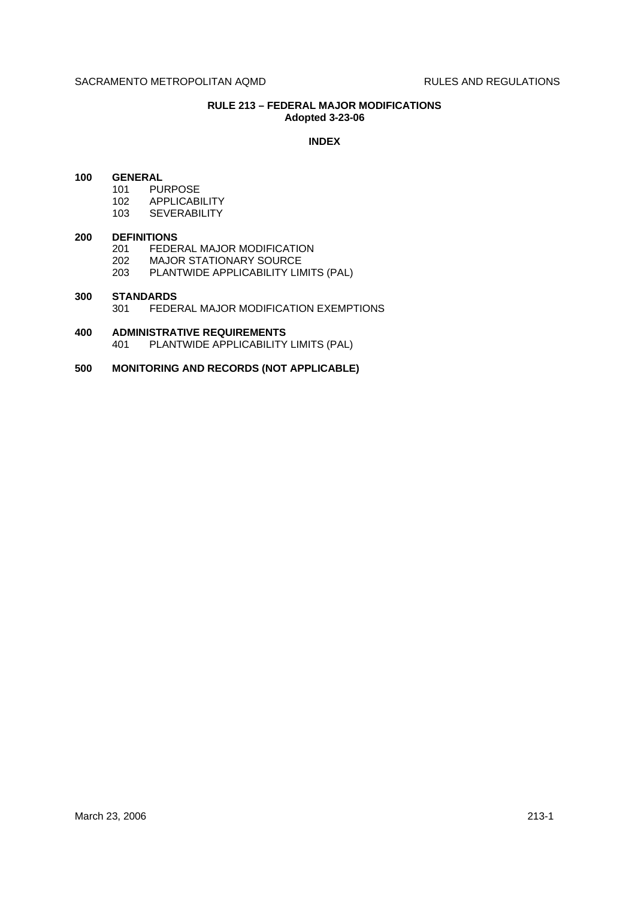# **RULE 213 – FEDERAL MAJOR MODIFICATIONS Adopted 3-23-06**

### **INDEX**

# **100 GENERAL**

- 101 PURPOSE
	- 102 APPLICABILITY
- 103 SEVERABILITY

#### **200 DEFINITIONS**

- 201 FEDERAL MAJOR MODIFICATION
- 202 MAJOR STATIONARY SOURCE
- 203 PLANTWIDE APPLICABILITY LIMITS (PAL)

# **300 STANDARDS** 301 FEDERAL MAJOR MODIFICATION EXEMPTIONS

**400 ADMINISTRATIVE REQUIREMENTS** 401 PLANTWIDE APPLICABILITY LIMITS (PAL)

### **500 MONITORING AND RECORDS (NOT APPLICABLE)**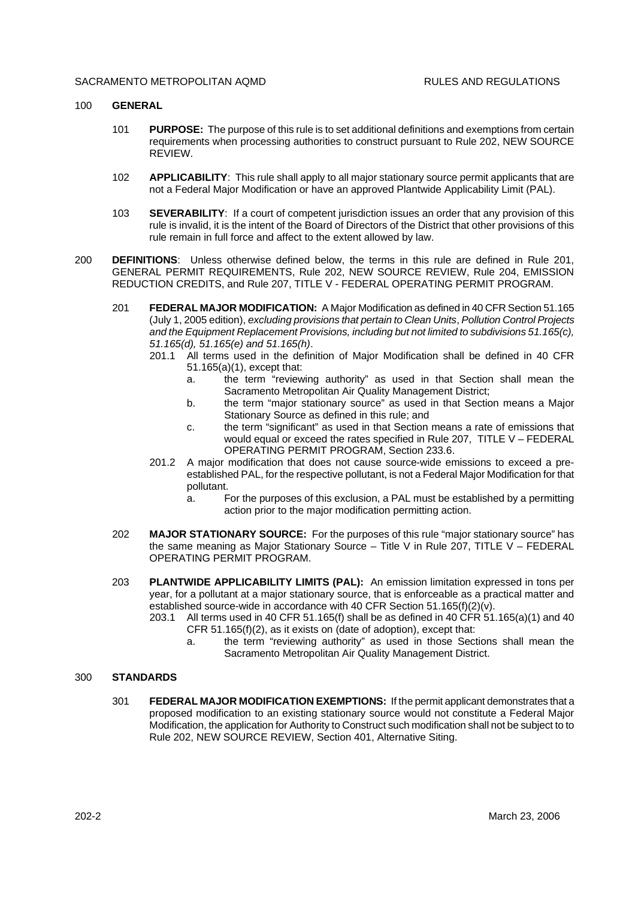#### SACRAMENTO METROPOLITAN AOMD **RULES AND REGULATIONS**

### 100 **GENERAL**

- 101 **PURPOSE:** The purpose of this rule is to set additional definitions and exemptions from certain requirements when processing authorities to construct pursuant to Rule 202, NEW SOURCE REVIEW.
- 102 **APPLICABILITY**: This rule shall apply to all major stationary source permit applicants that are not a Federal Major Modification or have an approved Plantwide Applicability Limit (PAL).
- 103 **SEVERABILITY**: If a court of competent jurisdiction issues an order that any provision of this rule is invalid, it is the intent of the Board of Directors of the District that other provisions of this rule remain in full force and affect to the extent allowed by law.
- 200 **DEFINITIONS**: Unless otherwise defined below, the terms in this rule are defined in Rule 201, GENERAL PERMIT REQUIREMENTS, Rule 202, NEW SOURCE REVIEW, Rule 204, EMISSION REDUCTION CREDITS, and Rule 207, TITLE V - FEDERAL OPERATING PERMIT PROGRAM.
	- 201 **FEDERAL MAJOR MODIFICATION:** A Major Modification as defined in 40 CFR Section 51.165 (July 1, 2005 edition), *excluding provisions that pertain to Clean Units*, *Pollution Control Projects and the Equipment Replacement Provisions, including but not limited to subdivisions 51.165(c), 51.165(d), 51.165(e) and 51.165(h)*.
		- 201.1 All terms used in the definition of Major Modification shall be defined in 40 CFR 51.165(a)(1), except that:
			- a. the term "reviewing authority" as used in that Section shall mean the Sacramento Metropolitan Air Quality Management District;
			- b. the term "major stationary source" as used in that Section means a Major Stationary Source as defined in this rule; and
			- c. the term "significant" as used in that Section means a rate of emissions that would equal or exceed the rates specified in Rule 207, TITLE V – FEDERAL OPERATING PERMIT PROGRAM, Section 233.6.
		- 201.2 A major modification that does not cause source-wide emissions to exceed a preestablished PAL, for the respective pollutant, is not a Federal Major Modification for that pollutant.
			- a. For the purposes of this exclusion, a PAL must be established by a permitting action prior to the major modification permitting action.
	- 202 **MAJOR STATIONARY SOURCE:** For the purposes of this rule "major stationary source" has the same meaning as Major Stationary Source – Title V in Rule 207, TITLE V – FEDERAL OPERATING PERMIT PROGRAM.
	- 203 **PLANTWIDE APPLICABILITY LIMITS (PAL):** An emission limitation expressed in tons per year, for a pollutant at a major stationary source, that is enforceable as a practical matter and established source-wide in accordance with 40 CFR Section 51.165(f)(2)(v).
		- 203.1 All terms used in 40 CFR 51.165(f) shall be as defined in 40 CFR 51.165(a)(1) and 40 CFR 51.165(f)(2), as it exists on (date of adoption), except that:
			- a. the term "reviewing authority" as used in those Sections shall mean the Sacramento Metropolitan Air Quality Management District.

#### 300 **STANDARDS**

301 **FEDERAL MAJOR MODIFICATION EXEMPTIONS:** If the permit applicant demonstrates that a proposed modification to an existing stationary source would not constitute a Federal Major Modification, the application for Authority to Construct such modification shall not be subject to to Rule 202, NEW SOURCE REVIEW, Section 401, Alternative Siting.